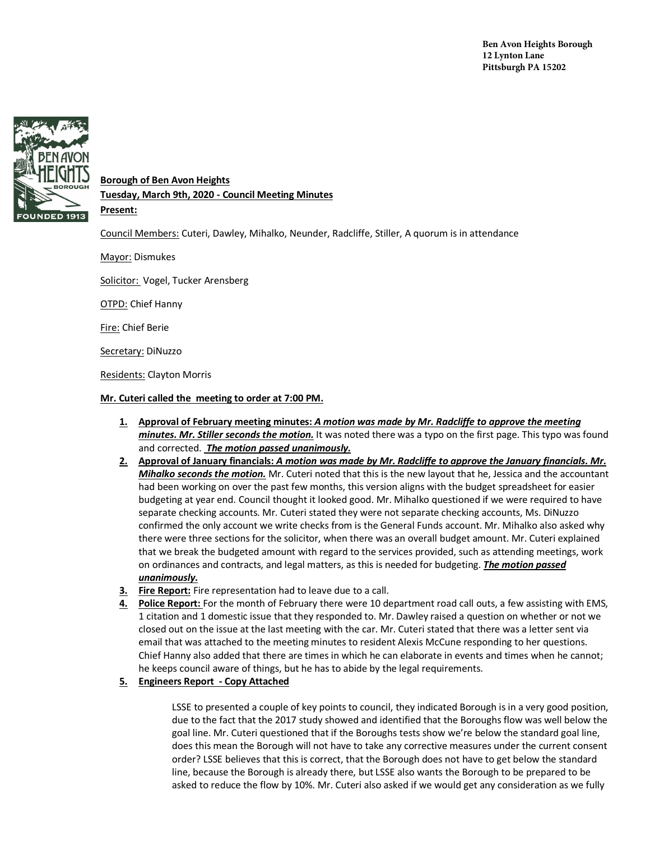

# **Borough of Ben Avon Heights**

**Tuesday, March 9th, 2020 - Council Meeting Minutes**

**Present:** 

Council Members: Cuteri, Dawley, Mihalko, Neunder, Radcliffe, Stiller, A quorum is in attendance

Mayor: Dismukes

Solicitor: Vogel, Tucker Arensberg

OTPD: Chief Hanny

Fire: Chief Berie

Secretary: DiNuzzo

Residents: Clayton Morris

#### **Mr. Cuteri called the meeting to order at 7:00 PM.**

- **1. Approval of February meeting minutes:** *A motion was made by Mr. Radcliffe to approve the meeting minutes. Mr. Stiller seconds the motion.* It was noted there was a typo on the first page. This typo was found and corrected. *The motion passed unanimously.*
- **2. Approval of January financials:** *A motion was made by Mr. Radcliffe to approve the January financials. Mr. Mihalko seconds the motion.* Mr. Cuteri noted that this is the new layout that he, Jessica and the accountant had been working on over the past few months, this version aligns with the budget spreadsheet for easier budgeting at year end. Council thought it looked good. Mr. Mihalko questioned if we were required to have separate checking accounts. Mr. Cuteri stated they were not separate checking accounts, Ms. DiNuzzo confirmed the only account we write checks from is the General Funds account. Mr. Mihalko also asked why there were three sections for the solicitor, when there was an overall budget amount. Mr. Cuteri explained that we break the budgeted amount with regard to the services provided, such as attending meetings, work on ordinances and contracts, and legal matters, as this is needed for budgeting. *The motion passed unanimously.*
- **3. Fire Report:** Fire representation had to leave due to a call.
- **4. Police Report:** For the month of February there were 10 department road call outs, a few assisting with EMS, 1 citation and 1 domestic issue that they responded to. Mr. Dawley raised a question on whether or not we closed out on the issue at the last meeting with the car. Mr. Cuteri stated that there was a letter sent via email that was attached to the meeting minutes to resident Alexis McCune responding to her questions. Chief Hanny also added that there are times in which he can elaborate in events and times when he cannot; he keeps council aware of things, but he has to abide by the legal requirements.
- **5. Engineers Report - Copy Attached**

LSSE to presented a couple of key points to council, they indicated Borough is in a very good position, due to the fact that the 2017 study showed and identified that the Boroughs flow was well below the goal line. Mr. Cuteri questioned that if the Boroughs tests show we're below the standard goal line, does this mean the Borough will not have to take any corrective measures under the current consent order? LSSE believes that this is correct, that the Borough does not have to get below the standard line, because the Borough is already there, but LSSE also wants the Borough to be prepared to be asked to reduce the flow by 10%. Mr. Cuteri also asked if we would get any consideration as we fully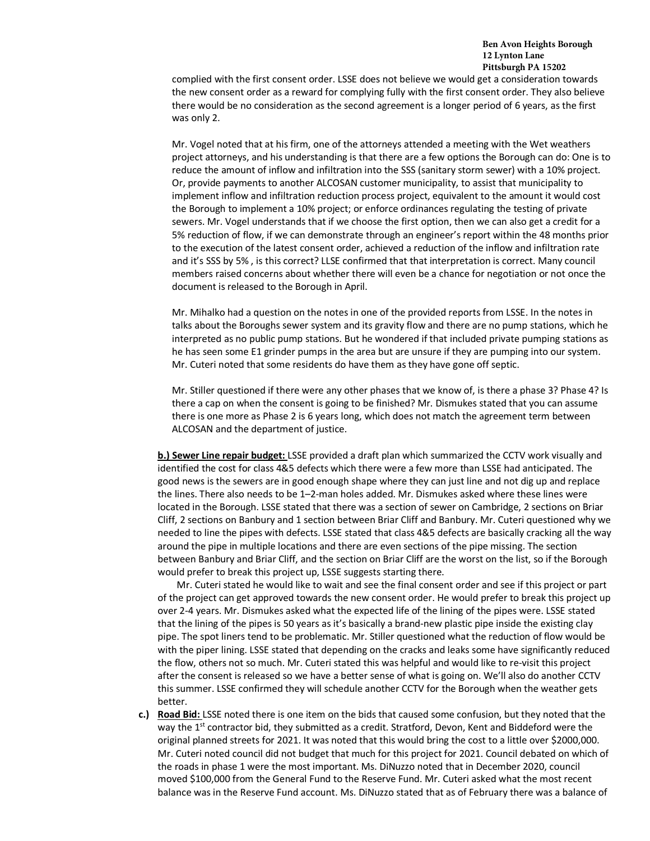#### **Ben Avon Heights Borough 12 Lynton Lane Pittsburgh PA 15202**

complied with the first consent order. LSSE does not believe we would get a consideration towards the new consent order as a reward for complying fully with the first consent order. They also believe there would be no consideration as the second agreement is a longer period of 6 years, as the first was only 2.

Mr. Vogel noted that at his firm, one of the attorneys attended a meeting with the Wet weathers project attorneys, and his understanding is that there are a few options the Borough can do: One is to reduce the amount of inflow and infiltration into the SSS (sanitary storm sewer) with a 10% project. Or, provide payments to another ALCOSAN customer municipality, to assist that municipality to implement inflow and infiltration reduction process project, equivalent to the amount it would cost the Borough to implement a 10% project; or enforce ordinances regulating the testing of private sewers. Mr. Vogel understands that if we choose the first option, then we can also get a credit for a 5% reduction of flow, if we can demonstrate through an engineer's report within the 48 months prior to the execution of the latest consent order, achieved a reduction of the inflow and infiltration rate and it's SSS by 5% , is this correct? LLSE confirmed that that interpretation is correct. Many council members raised concerns about whether there will even be a chance for negotiation or not once the document is released to the Borough in April.

Mr. Mihalko had a question on the notes in one of the provided reports from LSSE. In the notes in talks about the Boroughs sewer system and its gravity flow and there are no pump stations, which he interpreted as no public pump stations. But he wondered if that included private pumping stations as he has seen some E1 grinder pumps in the area but are unsure if they are pumping into our system. Mr. Cuteri noted that some residents do have them as they have gone off septic.

Mr. Stiller questioned if there were any other phases that we know of, is there a phase 3? Phase 4? Is there a cap on when the consent is going to be finished? Mr. Dismukes stated that you can assume there is one more as Phase 2 is 6 years long, which does not match the agreement term between ALCOSAN and the department of justice.

**b.) Sewer Line repair budget:** LSSE provided a draft plan which summarized the CCTV work visually and identified the cost for class 4&5 defects which there were a few more than LSSE had anticipated. The good news is the sewers are in good enough shape where they can just line and not dig up and replace the lines. There also needs to be 1–2-man holes added. Mr. Dismukes asked where these lines were located in the Borough. LSSE stated that there was a section of sewer on Cambridge, 2 sections on Briar Cliff, 2 sections on Banbury and 1 section between Briar Cliff and Banbury. Mr. Cuteri questioned why we needed to line the pipes with defects. LSSE stated that class 4&5 defects are basically cracking all the way around the pipe in multiple locations and there are even sections of the pipe missing. The section between Banbury and Briar Cliff, and the section on Briar Cliff are the worst on the list, so if the Borough would prefer to break this project up, LSSE suggests starting there.

Mr. Cuteri stated he would like to wait and see the final consent order and see if this project or part of the project can get approved towards the new consent order. He would prefer to break this project up over 2-4 years. Mr. Dismukes asked what the expected life of the lining of the pipes were. LSSE stated that the lining of the pipes is 50 years as it's basically a brand-new plastic pipe inside the existing clay pipe. The spot liners tend to be problematic. Mr. Stiller questioned what the reduction of flow would be with the piper lining. LSSE stated that depending on the cracks and leaks some have significantly reduced the flow, others not so much. Mr. Cuteri stated this was helpful and would like to re-visit this project after the consent is released so we have a better sense of what is going on. We'll also do another CCTV this summer. LSSE confirmed they will schedule another CCTV for the Borough when the weather gets better.

**c.) Road Bid:** LSSE noted there is one item on the bids that caused some confusion, but they noted that the way the 1<sup>st</sup> contractor bid, they submitted as a credit. Stratford, Devon, Kent and Biddeford were the original planned streets for 2021. It was noted that this would bring the cost to a little over \$2000,000. Mr. Cuteri noted council did not budget that much for this project for 2021. Council debated on which of the roads in phase 1 were the most important. Ms. DiNuzzo noted that in December 2020, council moved \$100,000 from the General Fund to the Reserve Fund. Mr. Cuteri asked what the most recent balance was in the Reserve Fund account. Ms. DiNuzzo stated that as of February there was a balance of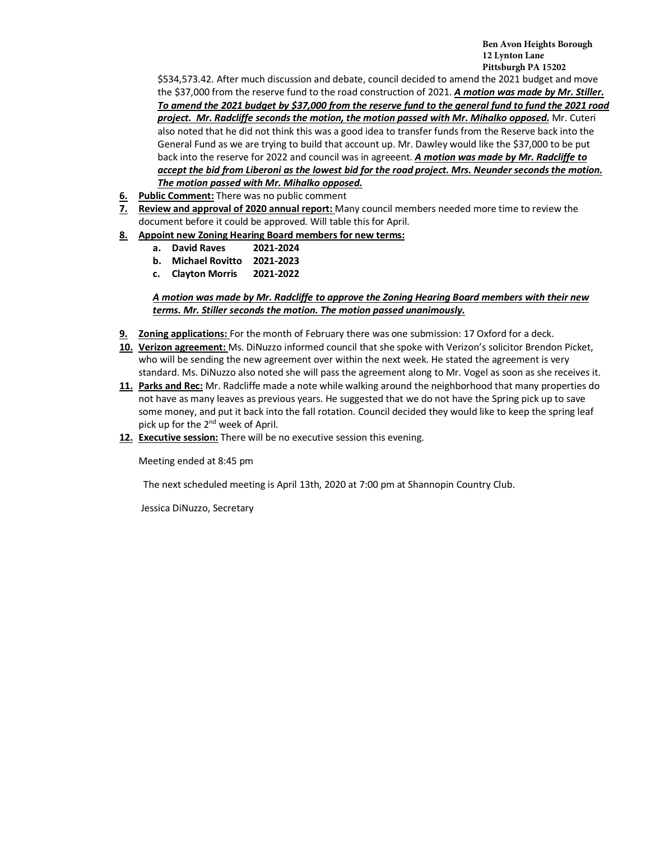**Ben Avon Heights Borough 12 Lynton Lane Pittsburgh PA 15202**

\$534,573.42. After much discussion and debate, council decided to amend the 2021 budget and move the \$37,000 from the reserve fund to the road construction of 2021. *A motion was made by Mr. Stiller. To amend the 2021 budget by \$37,000 from the reserve fund to the general fund to fund the 2021 road project. Mr. Radcliffe seconds the motion, the motion passed with Mr. Mihalko opposed.* Mr. Cuteri also noted that he did not think this was a good idea to transfer funds from the Reserve back into the General Fund as we are trying to build that account up. Mr. Dawley would like the \$37,000 to be put back into the reserve for 2022 and council was in agreeent. *A motion was made by Mr. Radcliffe to accept the bid from Liberoni as the lowest bid for the road project. Mrs. Neunder seconds the motion. The motion passed with Mr. Mihalko opposed.* 

- **6. Public Comment:** There was no public comment
- **7. Review and approval of 2020 annual report:** Many council members needed more time to review the document before it could be approved. Will table this for April.
- **8. Appoint new Zoning Hearing Board members for new terms:**
	- **a. David Raves 2021-2024**
	- **b. Michael Rovitto 2021-2023**
	- **c. Clayton Morris 2021-2022**

*A motion was made by Mr. Radcliffe to approve the Zoning Hearing Board members with their new terms. Mr. Stiller seconds the motion. The motion passed unanimously.* 

- **9. Zoning applications:** For the month of February there was one submission: 17 Oxford for a deck.
- **10. Verizon agreement:** Ms. DiNuzzo informed council that she spoke with Verizon's solicitor Brendon Picket, who will be sending the new agreement over within the next week. He stated the agreement is very standard. Ms. DiNuzzo also noted she will pass the agreement along to Mr. Vogel as soon as she receives it.
- **11. Parks and Rec:** Mr. Radcliffe made a note while walking around the neighborhood that many properties do not have as many leaves as previous years. He suggested that we do not have the Spring pick up to save some money, and put it back into the fall rotation. Council decided they would like to keep the spring leaf pick up for the 2<sup>nd</sup> week of April.
- **12. Executive session:** There will be no executive session this evening.

Meeting ended at 8:45 pm

The next scheduled meeting is April 13th, 2020 at 7:00 pm at Shannopin Country Club.

Jessica DiNuzzo, Secretary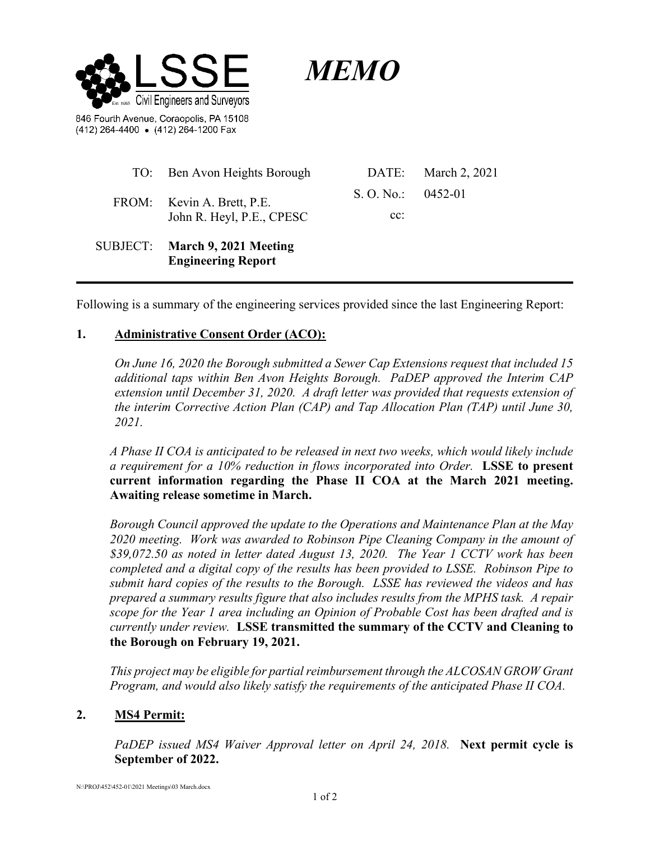

*MEMO*

846 Fourth Avenue, Coraopolis, PA 15108 (412) 264-4400 . (412) 264-1200 Fax

| TO: Ben Avon Heights Borough                                | DATE:                | March 2, 2021 |
|-------------------------------------------------------------|----------------------|---------------|
| FROM: Kevin A. Brett, P.E.<br>John R. Heyl, P.E., CPESC     | S. O. No.: $0452-01$ |               |
|                                                             | $cc$ :               |               |
| SUBJECT: March 9, 2021 Meeting<br><b>Engineering Report</b> |                      |               |

Following is a summary of the engineering services provided since the last Engineering Report:

## **1. Administrative Consent Order (ACO):**

*On June 16, 2020 the Borough submitted a Sewer Cap Extensions request that included 15 additional taps within Ben Avon Heights Borough. PaDEP approved the Interim CAP extension until December 31, 2020. A draft letter was provided that requests extension of the interim Corrective Action Plan (CAP) and Tap Allocation Plan (TAP) until June 30, 2021.* 

*A Phase II COA is anticipated to be released in next two weeks, which would likely include a requirement for a 10% reduction in flows incorporated into Order.* **LSSE to present current information regarding the Phase II COA at the March 2021 meeting. Awaiting release sometime in March.** 

*Borough Council approved the update to the Operations and Maintenance Plan at the May 2020 meeting. Work was awarded to Robinson Pipe Cleaning Company in the amount of \$39,072.50 as noted in letter dated August 13, 2020.**The Year 1 CCTV work has been completed and a digital copy of the results has been provided to LSSE. Robinson Pipe to submit hard copies of the results to the Borough. LSSE has reviewed the videos and has prepared a summary results figure that also includes results from the MPHS task. A repair scope for the Year 1 area including an Opinion of Probable Cost has been drafted and is currently under review.* **LSSE transmitted the summary of the CCTV and Cleaning to the Borough on February 19, 2021.** 

*This project may be eligible for partial reimbursement through the ALCOSAN GROW Grant Program, and would also likely satisfy the requirements of the anticipated Phase II COA.*

### **2. MS4 Permit:**

*PaDEP issued MS4 Waiver Approval letter on April 24, 2018.* **Next permit cycle is September of 2022.**